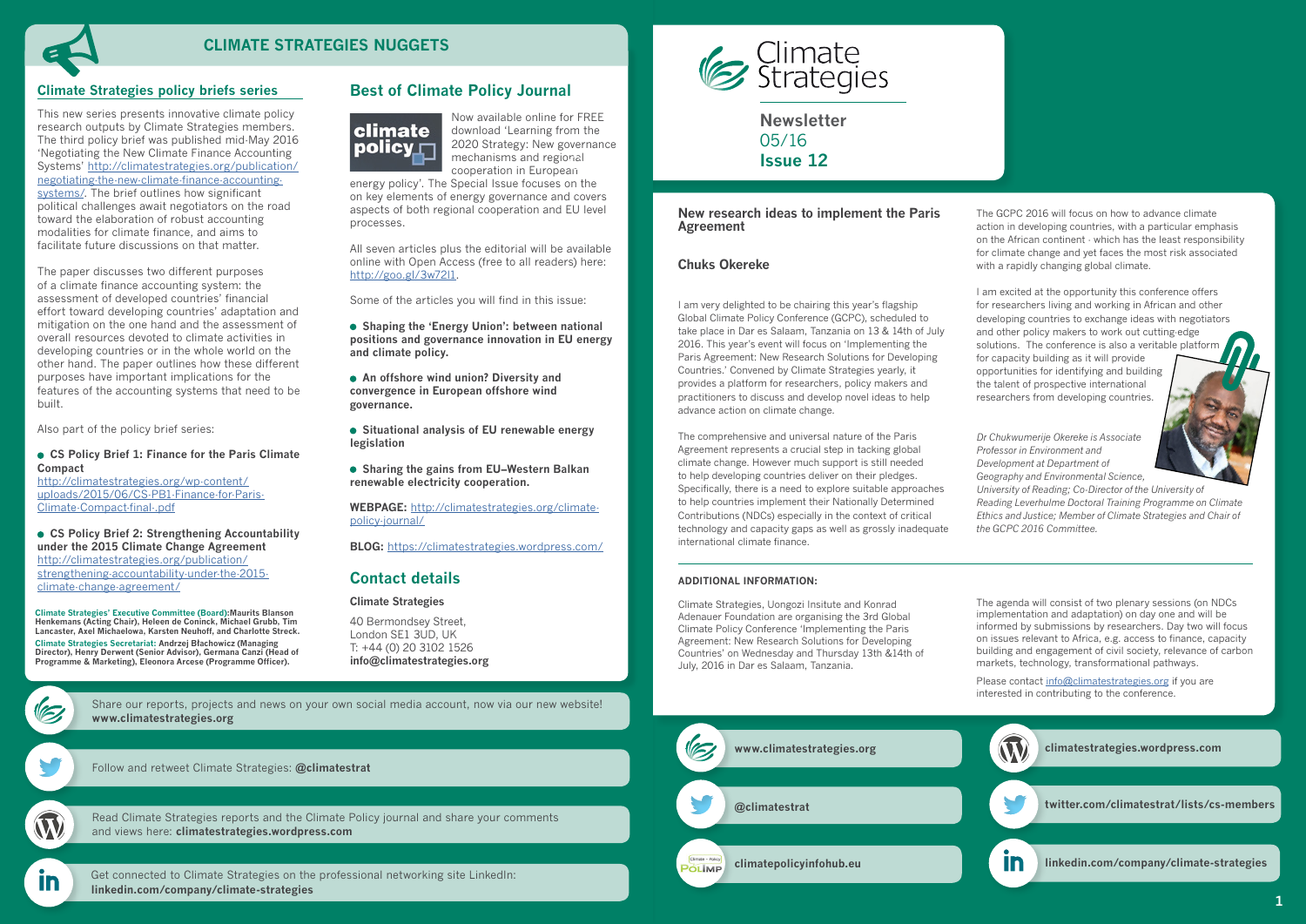**Newsletter** 05/16 **Issue 12**



# **Contact details**

#### **Climate Strategies**

40 Bermondsey Street, London SE1 3UD, UK T: +44 (0) 20 3102 1526 **[info@climatestrategies.org](mailto:info%40climatestrategies.org?subject=)**

 $\mathscr{C}$ 

[Follow and retweet Climate Strategies:](twitter.com/climatestrat) **[@climatestrat](https://twitter.com/climatestrat)**



In

[Get connected to Climate Strategies on the professional networking site LinkedIn:](linkedin.com/company/climate-strategies)  **[linkedin.com/company/climate-strategies](http://linkedin.com/company/climate-strategies)**



[Read Climate Strategies reports and the Climate Policy journal and share your comments](http://climatestrategies.wordpress.com/)  and views here: **[climatestrategies.wordpress.com](http://climatestrategies.wordpress.com/)**

[Share our reports, projects and news on your own social media account, now via our new website!](http://www.climatestrategies.org/about-us/newsletter-archive) **[www.climatestrategies.org](http://www.climatestrategies.org)**

# **Best of Climate Policy Journal**



Now available online for FREE download 'Learning from the 2020 Strategy: New governance mechanisms and regional cooperation in European

energy policy'. The Special Issue focuses on the on key elements of energy governance and covers aspects of both regional cooperation and EU level processes.

All seven articles plus the editorial will be available online with Open Access (free to all readers) here: [http://goo.gl/3w72l1.](http://goo.gl/3w72l1)

Some of the articles you will find in this issue:

 **Shaping the 'Energy Union': between national positions and governance innovation in EU energy and climate policy.**

 **An offshore wind union? Diversity and convergence in European offshore wind governance.**

 **Situational analysis of EU renewable energy legislation**

 **Sharing the gains from EU–Western Balkan renewable electricity cooperation.**

**WEBPAGE:** [http://climatestrategies.org/climate](http://climatestrategies.org/climate-policy-journal/)[policy-journal/](http://climatestrategies.org/climate-policy-journal/)

**BLOG:** <https://climatestrategies.wordpress.com/>

**Climate Strategies' Executive Committee (Board):Maurits Blanson Henkemans (Acting Chair), Heleen de Coninck, Michael Grubb, Tim Lancaster, Axel Michaelowa, Karsten Neuhoff, and Charlotte Streck. Climate Strategies Secretariat: Andrzej Błachowicz (Managing Director), Henry Derwent (Senior Advisor), Germana Canzi (Head of Programme & Marketing), Eleonora Arcese (Programme Officer).**

| New research ideas to implement the Paris<br><b>Agreement</b>                                                                                                                                                                                                                                                                                                                                                                                                                                                           |  |
|-------------------------------------------------------------------------------------------------------------------------------------------------------------------------------------------------------------------------------------------------------------------------------------------------------------------------------------------------------------------------------------------------------------------------------------------------------------------------------------------------------------------------|--|
| <b>Chuks Okereke</b>                                                                                                                                                                                                                                                                                                                                                                                                                                                                                                    |  |
| I am very delighted to be chairing this year's flagship<br>Global Climate Policy Conference (GCPC), scheduled to<br>take place in Dar es Salaam, Tanzania on 13 & 14th of July<br>2016. This year's event will focus on 'Implementing the<br>Paris Agreement: New Research Solutions for Developing<br>Countries.' Convened by Climate Strategies yearly, it<br>provides a platform for researchers, policy makers and<br>practitioners to discuss and develop novel ideas to help<br>advance action on climate change. |  |
| The comprehensive and universal nature of the Paris<br>Agreement represents a crucial step in tacking global<br>climate change. However much support is still needed<br>to help developing countries deliver on their pledges.<br>Specifically, there is a need to explore suitable approaches<br>to help countries implement their Nationally Determined<br>Contributions (NDCs) especially in the context of critical                                                                                                 |  |

Please contact [info@climatestrategies.org](mailto:info%40climatestrategies.org?subject=) if you are interested in contributing to the conference.

technology and capacity gaps as well as grossly inadequate

international climate finance.

The GCPC 2016 will focus on how to advance climate action in developing countries, with a particular emphasis on the African continent - which has the least responsibility for climate change and yet faces the most risk associated with a rapidly changing global climate.

I am excited at the opportunity this conference offers for researchers living and working in African and other developing countries to exchange ideas with negotiators and other policy makers to work out cutting-edge solutions. The conference is also a veritable platform for capacity building as it will provide opportunities for identifying and building the talent of prospective international researchers from developing countries.

*Dr Chukwumerije Okereke is Associate Professor in Environment and Development at Department of Geography and Environmental Science,* 

*University of Reading; Co-Director of the University of Reading Leverhulme Doctoral Training Programme on Climate Ethics and Justice; Member of Climate Strategies and Chair of the GCPC 2016 Committee.*

#### **ADDITIONAL INFORMATION:**

Climate Strategies, Uongozi Insitute and Konrad Adenauer Foundation are organising the 3rd Global Climate Policy Conference 'Implementing the Paris Agreement: New Research Solutions for Developing Countries' on Wednesday and Thursday 13th &14th of July, 2016 in Dar es Salaam, Tanzania.

The agenda will consist of two plenary sessions (on NDCs implementation and adaptation) on day one and will be informed by submissions by researchers. Day two will focus on issues relevant to Africa, e.g. access to finance, capacity building and engagement of civil society, relevance of carbon markets, technology, transformational pathways.

# **Climate Strategies policy briefs series**



This new series presents innovative climate policy research outputs by Climate Strategies members. The third policy brief was published mid-May 2016 'Negotiating the New Climate Finance Accounting Systems' [http://climatestrategies.org/p](http://climatestrategies.org/publication/negotiating-the-new-climate-finance-accounting-systems/)ublication/ negotiating-the-new-climate-finance-accountingsystems/. The brief outlines how significant political challenges await negotiators on the road toward the elaboration of robust accounting modalities for climate finance, and aims to facilitate future discussions on that matter.

The paper discusses two different purposes of a climate finance accounting system: the assessment of developed countries' financial effort toward developing countries' adaptation and mitigation on the one hand and the assessment of overall resources devoted to climate activities in developing countries or in the whole world on the other hand. The paper outlines how these different purposes have important implications for the features of the accounting systems that need to be built.

Also part of the policy brief series:

#### **CS Policy Brief 1: Finance for the Paris Climate Compact**

[http://climatestrategies.org/wp-content/](http://climatestrategies.org/wp-content/uploads/2015/06/CS-PB1-Finance-for-Paris-Climate-Compact-final-.pdf) [uploads/2015/06/CS-PB1-Finance-for-Paris-](http://climatestrategies.org/wp-content/uploads/2015/06/CS-PB1-Finance-for-Paris-Climate-Compact-final-.pdf)[Climate-Compact-final-.pdf](http://climatestrategies.org/wp-content/uploads/2015/06/CS-PB1-Finance-for-Paris-Climate-Compact-final-.pdf)

 **CS Policy Brief 2: Strengthening Accountability under the 2015 Climate Change Agreement** [http://climatestrategies.org/publication/](http://climatestrategies.org/publication/strengthening-accountability-under-the-2015-climate-change-) [strengthening-accountability-under-the-2015](http://climatestrategies.org/publication/strengthening-accountability-under-the-2015-climate-change-) [climate-change-agreement/](http://climatestrategies.org/publication/strengthening-accountability-under-the-2015-climate-change-)